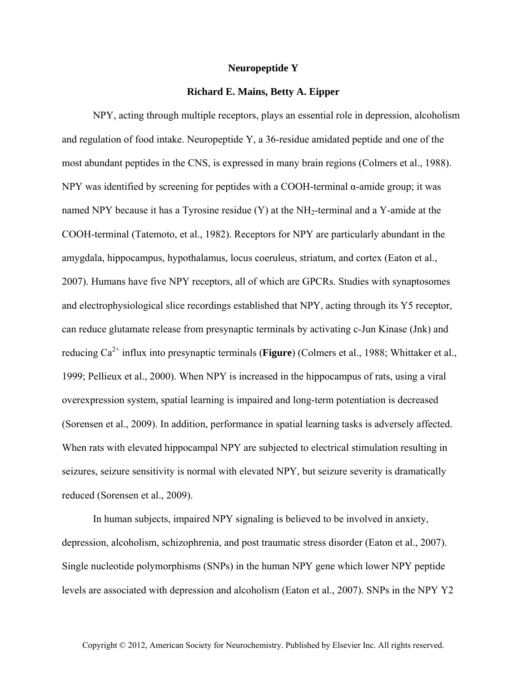## **Neuropeptide Y**

## **Richard E. Mains, Betty A. Eipper**

NPY, acting through multiple receptors, plays an essential role in depression, alcoholism and regulation of food intake. Neuropeptide Y, a 36-residue amidated peptide and one of the most abundant peptides in the CNS, is expressed in many brain regions (Colmers et al., 1988). NPY was identified by screening for peptides with a COOH-terminal  $\alpha$ -amide group; it was named NPY because it has a Tyrosine residue  $(Y)$  at the NH<sub>2</sub>-terminal and a Y-amide at the COOH-terminal (Tatemoto, et al., 1982). Receptors for NPY are particularly abundant in the amygdala, hippocampus, hypothalamus, locus coeruleus, striatum, and cortex (Eaton et al., 2007). Humans have five NPY receptors, all of which are GPCRs. Studies with synaptosomes and electrophysiological slice recordings established that NPY, acting through its Y5 receptor, can reduce glutamate release from presynaptic terminals by activating c-Jun Kinase (Jnk) and reducing Ca<sup>2+</sup> influx into presynaptic terminals (**Figure**) (Colmers et al., 1988; Whittaker et al., 1999; Pellieux et al., 2000). When NPY is increased in the hippocampus of rats, using a viral overexpression system, spatial learning is impaired and long-term potentiation is decreased (Sorensen et al., 2009). In addition, performance in spatial learning tasks is adversely affected. When rats with elevated hippocampal NPY are subjected to electrical stimulation resulting in seizures, seizure sensitivity is normal with elevated NPY, but seizure severity is dramatically reduced (Sorensen et al., 2009).

In human subjects, impaired NPY signaling is believed to be involved in anxiety, depression, alcoholism, schizophrenia, and post traumatic stress disorder (Eaton et al., 2007). Single nucleotide polymorphisms (SNPs) in the human NPY gene which lower NPY peptide levels are associated with depression and alcoholism (Eaton et al., 2007). SNPs in the NPY Y2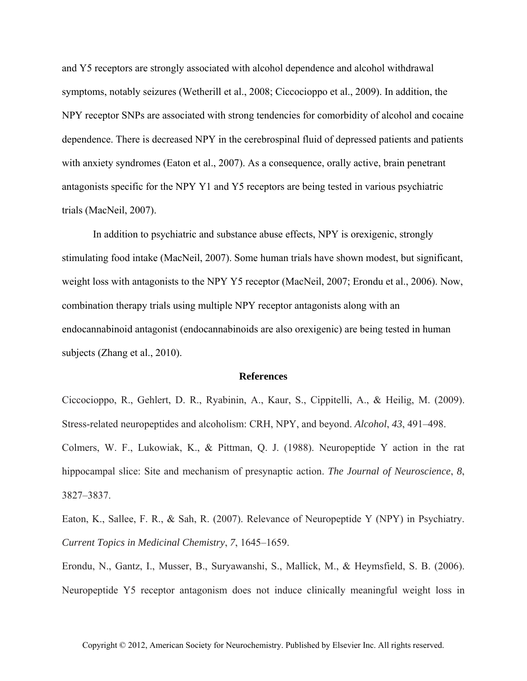and Y5 receptors are strongly associated with alcohol dependence and alcohol withdrawal symptoms, notably seizures (Wetherill et al., 2008; Ciccocioppo et al., 2009). In addition, the NPY receptor SNPs are associated with strong tendencies for comorbidity of alcohol and cocaine dependence. There is decreased NPY in the cerebrospinal fluid of depressed patients and patients with anxiety syndromes (Eaton et al., 2007). As a consequence, orally active, brain penetrant antagonists specific for the NPY Y1 and Y5 receptors are being tested in various psychiatric trials (MacNeil, 2007).

In addition to psychiatric and substance abuse effects, NPY is orexigenic, strongly stimulating food intake (MacNeil, 2007). Some human trials have shown modest, but significant, weight loss with antagonists to the NPY Y5 receptor (MacNeil, 2007; Erondu et al., 2006). Now, combination therapy trials using multiple NPY receptor antagonists along with an endocannabinoid antagonist (endocannabinoids are also orexigenic) are being tested in human subjects (Zhang et al., 2010).

## **References**

Ciccocioppo, R., Gehlert, D. R., Ryabinin, A., Kaur, S., Cippitelli, A., & Heilig, M. (2009). Stress-related neuropeptides and alcoholism: CRH, NPY, and beyond. *Alcohol*, *43*, 491–498. Colmers, W. F., Lukowiak, K., & Pittman, Q. J. (1988). Neuropeptide Y action in the rat hippocampal slice: Site and mechanism of presynaptic action. *The Journal of Neuroscience*, *8*, 3827–3837.

Eaton, K., Sallee, F. R., & Sah, R. (2007). Relevance of Neuropeptide Y (NPY) in Psychiatry. *Current Topics in Medicinal Chemistry*, *7*, 1645–1659.

Erondu, N., Gantz, I., Musser, B., Suryawanshi, S., Mallick, M., & Heymsfield, S. B. (2006). Neuropeptide Y5 receptor antagonism does not induce clinically meaningful weight loss in